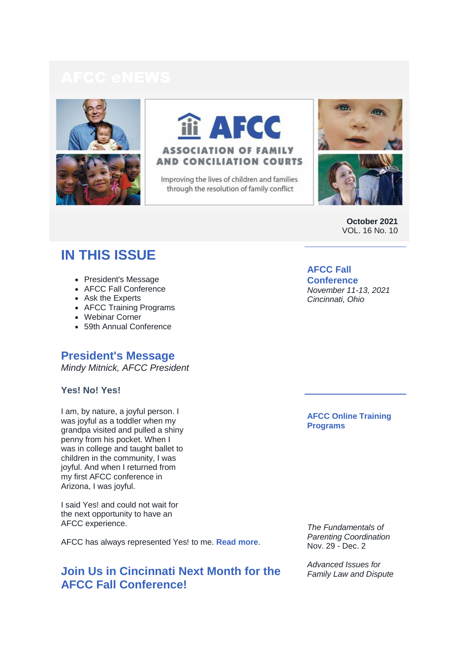



Improving the lives of children and families through the resolution of family conflict





**October 2021** VOL. 16 No. 10

# **IN THIS ISSUE**

- President's Message
- AFCC Fall Conference
- Ask the Experts
- AFCC Training Programs
- Webinar Corner
- 59th Annual Conference

# **President's Message**

*Mindy Mitnick, AFCC President*

# **Yes! No! Yes!**

I am, by nature, a joyful person. I was joyful as a toddler when my grandpa visited and pulled a shiny penny from his pocket. When I was in college and taught ballet to children in the community, I was joyful. And when I returned from my first AFCC conference in Arizona, I was joyful.

I said Yes! and could not wait for the next opportunity to have an AFCC experience.

AFCC has always represented Yes! to me. **[Read more](https://r20.rs6.net/tn.jsp?f=001GatK5TbPh7s5VRAKe4clglnvcarXtACXm2f31WIiCZ50a4VniMO7w1AsPiGiAWFAt8J9EbctWU6FMOBv8iCuCLuFQPYrjA5qcVW0o40hJVRkzQVrMggP6MhwIENei_-BiQ3FCTWQwnpxJJVD0xZaeXZKRlIOZWy2SCW31bQLMhQwpSPLvx33hFOjSYJ4DtNttxk0ovXWvWK8nuN-zkJnvB_FmBNHvtjf3kJHLDestmc=&c=aQqsplq_4n8m9koU-MqsYGL-RVLpsXhaESkLTnqe-NDa0Uc09cUQhA==&ch=s7fA5jcJKwyGcUyE9ffDb7ymv3ImhJNm6oDQuc92cXvauvOLczqi9Q==)**.

# **Join Us in Cincinnati Next Month for the AFCC Fall Conference!**

**AFCC Fall Conference**  *November 11-13, 2021 Cincinnati, Ohio* 

**AFCC Online Training Programs**

*The Fundamentals of Parenting Coordination* Nov. 29 - Dec. 2

*Advanced Issues for Family Law and Dispute*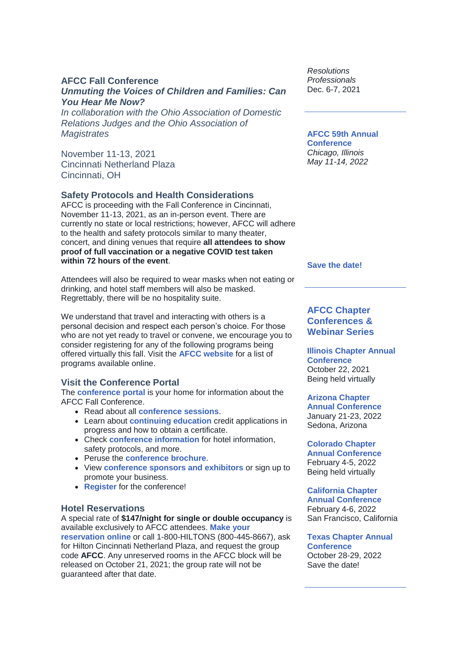# **AFCC Fall Conference**

# *Unmuting the Voices of Children and Families: Can You Hear Me Now?*

*In collaboration with the Ohio Association of Domestic Relations Judges and the Ohio Association of Magistrates*

November 11-13, 2021 Cincinnati Netherland Plaza Cincinnati, OH

# **Safety Protocols and Health Considerations**

AFCC is proceeding with the Fall Conference in Cincinnati, November 11-13, 2021, as an in-person event. There are currently no state or local restrictions; however, AFCC will adhere to the health and safety protocols similar to many theater, concert, and dining venues that require **all attendees to show proof of full vaccination or a negative COVID test taken within 72 hours of the event**.

Attendees will also be required to wear masks when not eating or drinking, and hotel staff members will also be masked. Regrettably, there will be no hospitality suite.

We understand that travel and interacting with others is a personal decision and respect each person's choice. For those who are not yet ready to travel or convene, we encourage you to consider registering for any of the following programs being offered virtually this fall. Visit the **[AFCC website](https://r20.rs6.net/tn.jsp?f=001GatK5TbPh7s5VRAKe4clglnvcarXtACXm2f31WIiCZ50a4VniMO7w5cG7ZZ1GUQyFtiW2tyQ50FP7jO83PnDHbyUNhBUmBAmBYDgC6QHshc3MyQjfz1aq2p1PaM4ijM3rg7R7x7I-o6pFxJVlduY7g==&c=aQqsplq_4n8m9koU-MqsYGL-RVLpsXhaESkLTnqe-NDa0Uc09cUQhA==&ch=s7fA5jcJKwyGcUyE9ffDb7ymv3ImhJNm6oDQuc92cXvauvOLczqi9Q==)** for a list of programs available online.

# **Visit the Conference Portal**

The **[conference portal](https://r20.rs6.net/tn.jsp?f=001GatK5TbPh7s5VRAKe4clglnvcarXtACXm2f31WIiCZ50a4VniMO7w8BT-bZxoO_Xf-khUJ038215Ln-JsAd6zKqxChO5e_zE4Ag1blkIMPOlAZK2GSW2o2kdJwYzUsCyFo1vuGlKLGdThhTzcj4qokslFY28CX_P2vya3Q-NJ1U=&c=aQqsplq_4n8m9koU-MqsYGL-RVLpsXhaESkLTnqe-NDa0Uc09cUQhA==&ch=s7fA5jcJKwyGcUyE9ffDb7ymv3ImhJNm6oDQuc92cXvauvOLczqi9Q==)** is your home for information about the AFCC Fall Conference.

- Read about all **[conference sessions](https://r20.rs6.net/tn.jsp?f=001GatK5TbPh7s5VRAKe4clglnvcarXtACXm2f31WIiCZ50a4VniMO7w5PeZd8AJHX7lSadFVFkVi1bC53KnOoHUSXcv7CSOVk1WSdyTJuAKaMYofcdUVg0lwOYNyW3HBK4iIq8BpTCvsNOAsG5GBI1OhKjg5UBCgTeJQ0ZkDgsmZX_s_slPhUXlQ==&c=aQqsplq_4n8m9koU-MqsYGL-RVLpsXhaESkLTnqe-NDa0Uc09cUQhA==&ch=s7fA5jcJKwyGcUyE9ffDb7ymv3ImhJNm6oDQuc92cXvauvOLczqi9Q==)**.
- Learn about **[continuing education](https://r20.rs6.net/tn.jsp?f=001GatK5TbPh7s5VRAKe4clglnvcarXtACXm2f31WIiCZ50a4VniMO7w5PeZd8AJHX7WM79t96I9Zg44aSJHyXUFG_i7-CycunCfykrkqwF6Lf_22r-NqnYag6xU0r4ZB-jkSn6xUoFPS_TR5xVTi_VXMUBDVfog2Frt4c3KEA4BBw9YOe9EL8DeMFyCmnlowIi&c=aQqsplq_4n8m9koU-MqsYGL-RVLpsXhaESkLTnqe-NDa0Uc09cUQhA==&ch=s7fA5jcJKwyGcUyE9ffDb7ymv3ImhJNm6oDQuc92cXvauvOLczqi9Q==)** credit applications in progress and how to obtain a certificate.
- Check **[conference information](https://r20.rs6.net/tn.jsp?f=001GatK5TbPh7s5VRAKe4clglnvcarXtACXm2f31WIiCZ50a4VniMO7w5PeZd8AJHX7Lt3QpaZF80Hg_LKpSy7B01BmWv50nENQ-NnCkojV8DzhHKbEMelnxCDKU4_c5KtkmHRyB3GGo-ShKaPG15JUN4zQvjr7hlzqu_nxkRX2MLepVEBEp85ht7IHbgqHi_8j&c=aQqsplq_4n8m9koU-MqsYGL-RVLpsXhaESkLTnqe-NDa0Uc09cUQhA==&ch=s7fA5jcJKwyGcUyE9ffDb7ymv3ImhJNm6oDQuc92cXvauvOLczqi9Q==)** for hotel information, safety protocols, and more.
- Peruse the **[conference brochure](https://r20.rs6.net/tn.jsp?f=001GatK5TbPh7s5VRAKe4clglnvcarXtACXm2f31WIiCZ50a4VniMO7w1AsPiGiAWFAXXEC5eAmowOxIPVg2EUS1F5zCl-Qedtz_Oxq0b0WcPdo9QN51iqW-igbpsI97FX1uOw_Hl4gG-3tKpjY-O6jB8PkYfGx4EVXSh0BiwWtluJpoGwJn_Nb7WKU8MG7YTVhgfFB0Hr9XUGwsLUoXIyQQpQznz4jRaiLhsDZxopV6KlzN962Ye5khh4-F0mYIVPMyVn66yAc51yq7yQ6kFP-YcZyouY0K_mA&c=aQqsplq_4n8m9koU-MqsYGL-RVLpsXhaESkLTnqe-NDa0Uc09cUQhA==&ch=s7fA5jcJKwyGcUyE9ffDb7ymv3ImhJNm6oDQuc92cXvauvOLczqi9Q==)**.
- View **[conference sponsors and exhibitors](https://r20.rs6.net/tn.jsp?f=001GatK5TbPh7s5VRAKe4clglnvcarXtACXm2f31WIiCZ50a4VniMO7w5PeZd8AJHX7PvGjigP8a3Yn1qiV0IsXjoZqwxFagIJNcEp1G-CNMWOIIuLwP4a_3TyL9D_IyjagcEY_dfTF8xJsbGMfrlN0yfzooZl-TJfA48rvls022jWB6HsIY1NKvk6rTfytKXWy&c=aQqsplq_4n8m9koU-MqsYGL-RVLpsXhaESkLTnqe-NDa0Uc09cUQhA==&ch=s7fA5jcJKwyGcUyE9ffDb7ymv3ImhJNm6oDQuc92cXvauvOLczqi9Q==)** or sign up to promote your business.
- **[Register](https://r20.rs6.net/tn.jsp?f=001GatK5TbPh7s5VRAKe4clglnvcarXtACXm2f31WIiCZ50a4VniMO7w4rjWbZPzFcJi9px7k3lgSsH7FDckAtGF-zeEcw89ZwjKLAoqadDf_Q2TlDfW5T9PZrMhBF4u-h4cr39gLhmcwvWTp4St27FxjT6nf-jM0CqsoBzhyjKsK0_Ha_p6wgGdpTfvy_7p1EPyzgfYCxQAkuWmeZUbrt42bjnU4j7Sr7eY2uO4tfovSPXTZ2byYHCog==&c=aQqsplq_4n8m9koU-MqsYGL-RVLpsXhaESkLTnqe-NDa0Uc09cUQhA==&ch=s7fA5jcJKwyGcUyE9ffDb7ymv3ImhJNm6oDQuc92cXvauvOLczqi9Q==)** for the conference!

# **Hotel Reservations**

A special rate of **\$147/night for single or double occupancy** is available exclusively to AFCC attendees. **[Make your](https://r20.rs6.net/tn.jsp?f=001GatK5TbPh7s5VRAKe4clglnvcarXtACXm2f31WIiCZ50a4VniMO7w9ZiXUxyCwCRjXyP2mpRMMQP6emul6LMW0AMYIXZhAGUkPuAFHFDJOIlvmNQBmEryCSEGpcnXbDLdTAGEzUbXn5k26fghjflpA==&c=aQqsplq_4n8m9koU-MqsYGL-RVLpsXhaESkLTnqe-NDa0Uc09cUQhA==&ch=s7fA5jcJKwyGcUyE9ffDb7ymv3ImhJNm6oDQuc92cXvauvOLczqi9Q==)** 

**[reservation online](https://r20.rs6.net/tn.jsp?f=001GatK5TbPh7s5VRAKe4clglnvcarXtACXm2f31WIiCZ50a4VniMO7w9ZiXUxyCwCRjXyP2mpRMMQP6emul6LMW0AMYIXZhAGUkPuAFHFDJOIlvmNQBmEryCSEGpcnXbDLdTAGEzUbXn5k26fghjflpA==&c=aQqsplq_4n8m9koU-MqsYGL-RVLpsXhaESkLTnqe-NDa0Uc09cUQhA==&ch=s7fA5jcJKwyGcUyE9ffDb7ymv3ImhJNm6oDQuc92cXvauvOLczqi9Q==)** or call 1-800-HILTONS (800-445-8667), ask for Hilton Cincinnati Netherland Plaza, and request the group code **AFCC**. Any unreserved rooms in the AFCC block will be released on October 21, 2021; the group rate will not be guaranteed after that date.

*Resolutions Professionals* Dec. 6-7, 2021

### **AFCC 59th Annual Conference**

*Chicago, Illinois May 11-14, 2022*

**[Save the date!](https://r20.rs6.net/tn.jsp?f=001GatK5TbPh7s5VRAKe4clglnvcarXtACXm2f31WIiCZ50a4VniMO7w8BT-bZxoO_XW8Yax-bP6A3BCTzaH9l-xB4nMtsdviJ6Hlm2YlJUNbTCa555ZdPICGHb4HT3SOGc8AjfLeqHTtMWdF6kiqrDwXKJ85mYR6IKnCGZlutGDYlvwujkf3zOq1AvJsTQBG_oIEOSkS5nCe2wxARb4yPxs5TVCTn6vF4j4L1QqOixXGA=&c=aQqsplq_4n8m9koU-MqsYGL-RVLpsXhaESkLTnqe-NDa0Uc09cUQhA==&ch=s7fA5jcJKwyGcUyE9ffDb7ymv3ImhJNm6oDQuc92cXvauvOLczqi9Q==)**

# **AFCC Chapter Conferences & Webinar Series**

**[Illinois Chapter Annual](https://r20.rs6.net/tn.jsp?f=001GatK5TbPh7s5VRAKe4clglnvcarXtACXm2f31WIiCZ50a4VniMO7w847fbcj8MG2Ybk3_XomDGhszE5kW-WATZFtFZns-b1LkLIQRLJlcVpa2dN9fhvy_gv5CUus30DNEvgzIgQHhq5ZGNXqv767fkKKGmAQthIucEX--VhhVqk=&c=aQqsplq_4n8m9koU-MqsYGL-RVLpsXhaESkLTnqe-NDa0Uc09cUQhA==&ch=s7fA5jcJKwyGcUyE9ffDb7ymv3ImhJNm6oDQuc92cXvauvOLczqi9Q==)  [Conference](https://r20.rs6.net/tn.jsp?f=001GatK5TbPh7s5VRAKe4clglnvcarXtACXm2f31WIiCZ50a4VniMO7w847fbcj8MG2Ybk3_XomDGhszE5kW-WATZFtFZns-b1LkLIQRLJlcVpa2dN9fhvy_gv5CUus30DNEvgzIgQHhq5ZGNXqv767fkKKGmAQthIucEX--VhhVqk=&c=aQqsplq_4n8m9koU-MqsYGL-RVLpsXhaESkLTnqe-NDa0Uc09cUQhA==&ch=s7fA5jcJKwyGcUyE9ffDb7ymv3ImhJNm6oDQuc92cXvauvOLczqi9Q==)** October 22, 2021 Being held virtually

### **[Arizona Chapter](https://r20.rs6.net/tn.jsp?f=001GatK5TbPh7s5VRAKe4clglnvcarXtACXm2f31WIiCZ50a4VniMO7w-4hlGNEncwcUEy_XUSxtxcA4TZr7OQOBNPf9IK3QutAtI4K_ZUlwnvZhqYwnJ-0zVHmCbudxJbtfhGytCtDnxdRaxzNk0Ts3Q==&c=aQqsplq_4n8m9koU-MqsYGL-RVLpsXhaESkLTnqe-NDa0Uc09cUQhA==&ch=s7fA5jcJKwyGcUyE9ffDb7ymv3ImhJNm6oDQuc92cXvauvOLczqi9Q==)**

**[Annual Conference](https://r20.rs6.net/tn.jsp?f=001GatK5TbPh7s5VRAKe4clglnvcarXtACXm2f31WIiCZ50a4VniMO7w-4hlGNEncwcUEy_XUSxtxcA4TZr7OQOBNPf9IK3QutAtI4K_ZUlwnvZhqYwnJ-0zVHmCbudxJbtfhGytCtDnxdRaxzNk0Ts3Q==&c=aQqsplq_4n8m9koU-MqsYGL-RVLpsXhaESkLTnqe-NDa0Uc09cUQhA==&ch=s7fA5jcJKwyGcUyE9ffDb7ymv3ImhJNm6oDQuc92cXvauvOLczqi9Q==)** January 21-23, 2022 Sedona, Arizona

# **[Colorado Chapter](https://r20.rs6.net/tn.jsp?f=001GatK5TbPh7s5VRAKe4clglnvcarXtACXm2f31WIiCZ50a4VniMO7w5vzmv9Yj28Q6YsG7-c2zbSH-R45PAAsmh1PcEEwwapMvTCXt8W4Pf-PHyWHlk8Q8YTC0pmPuBNumAK3GSCjSE29tWlNDVCEag==&c=aQqsplq_4n8m9koU-MqsYGL-RVLpsXhaESkLTnqe-NDa0Uc09cUQhA==&ch=s7fA5jcJKwyGcUyE9ffDb7ymv3ImhJNm6oDQuc92cXvauvOLczqi9Q==)**

**[Annual Conference](https://r20.rs6.net/tn.jsp?f=001GatK5TbPh7s5VRAKe4clglnvcarXtACXm2f31WIiCZ50a4VniMO7w5vzmv9Yj28Q6YsG7-c2zbSH-R45PAAsmh1PcEEwwapMvTCXt8W4Pf-PHyWHlk8Q8YTC0pmPuBNumAK3GSCjSE29tWlNDVCEag==&c=aQqsplq_4n8m9koU-MqsYGL-RVLpsXhaESkLTnqe-NDa0Uc09cUQhA==&ch=s7fA5jcJKwyGcUyE9ffDb7ymv3ImhJNm6oDQuc92cXvauvOLczqi9Q==)** February 4-5, 2022 Being held virtually

### **[California Chapter](https://r20.rs6.net/tn.jsp?f=001GatK5TbPh7s5VRAKe4clglnvcarXtACXm2f31WIiCZ50a4VniMO7w9ZiXUxyCwCR_zYyr8rnaXFzNTxfGh7ySWuzVc9H-4yw8AwtdWdLpYHtrRuMq-I6ceg4ltbpk4GRxcLHREAl-U_UR7aTGh2x-iERZ3c7JHIYM38bKHjbuQiDooyTspudVXHtHyuL0nX-oORZ3O_VNonvQQdeQAetBw==&c=aQqsplq_4n8m9koU-MqsYGL-RVLpsXhaESkLTnqe-NDa0Uc09cUQhA==&ch=s7fA5jcJKwyGcUyE9ffDb7ymv3ImhJNm6oDQuc92cXvauvOLczqi9Q==)**

**[Annual Conference](https://r20.rs6.net/tn.jsp?f=001GatK5TbPh7s5VRAKe4clglnvcarXtACXm2f31WIiCZ50a4VniMO7w9ZiXUxyCwCR_zYyr8rnaXFzNTxfGh7ySWuzVc9H-4yw8AwtdWdLpYHtrRuMq-I6ceg4ltbpk4GRxcLHREAl-U_UR7aTGh2x-iERZ3c7JHIYM38bKHjbuQiDooyTspudVXHtHyuL0nX-oORZ3O_VNonvQQdeQAetBw==&c=aQqsplq_4n8m9koU-MqsYGL-RVLpsXhaESkLTnqe-NDa0Uc09cUQhA==&ch=s7fA5jcJKwyGcUyE9ffDb7ymv3ImhJNm6oDQuc92cXvauvOLczqi9Q==)** February 4-6, 2022 San Francisco, California

### **[Texas Chapter Annual](https://r20.rs6.net/tn.jsp?f=001GatK5TbPh7s5VRAKe4clglnvcarXtACXm2f31WIiCZ50a4VniMO7w1AsPiGiAWFARSsy1tnjAtGe3vIWBK2CVAJjQCntyMczEDsVd7ErkmVDx4_e2CV0124PjNYJzGC9YJ1ZcKlCYIrPana9Qye4Q7o0Nw_9FwOogA8FusHSZ_4xY-Y7By3sUv_e08h5MIVB1_dTKeof9yaZWGCg_8p33JzabFf1H-FBH2KIbuw9hGLtCux9CX1teej-70okXvDr&c=aQqsplq_4n8m9koU-MqsYGL-RVLpsXhaESkLTnqe-NDa0Uc09cUQhA==&ch=s7fA5jcJKwyGcUyE9ffDb7ymv3ImhJNm6oDQuc92cXvauvOLczqi9Q==)  [Conference](https://r20.rs6.net/tn.jsp?f=001GatK5TbPh7s5VRAKe4clglnvcarXtACXm2f31WIiCZ50a4VniMO7w1AsPiGiAWFARSsy1tnjAtGe3vIWBK2CVAJjQCntyMczEDsVd7ErkmVDx4_e2CV0124PjNYJzGC9YJ1ZcKlCYIrPana9Qye4Q7o0Nw_9FwOogA8FusHSZ_4xY-Y7By3sUv_e08h5MIVB1_dTKeof9yaZWGCg_8p33JzabFf1H-FBH2KIbuw9hGLtCux9CX1teej-70okXvDr&c=aQqsplq_4n8m9koU-MqsYGL-RVLpsXhaESkLTnqe-NDa0Uc09cUQhA==&ch=s7fA5jcJKwyGcUyE9ffDb7ymv3ImhJNm6oDQuc92cXvauvOLczqi9Q==)**

October 28-29, 2022 Save the date!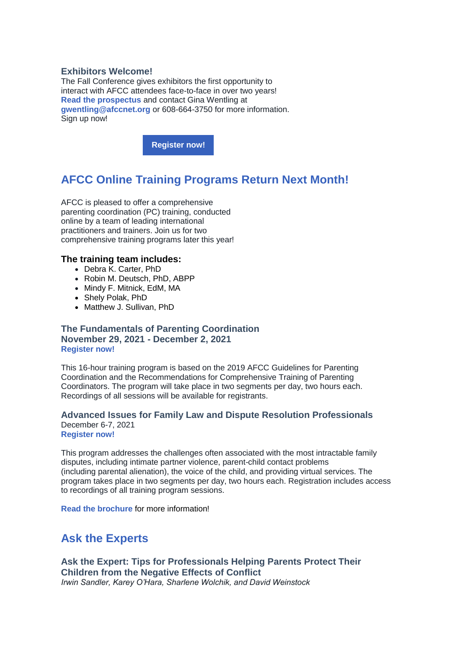### **Exhibitors Welcome!**

The Fall Conference gives exhibitors the first opportunity to interact with AFCC attendees face-to-face in over two years! **[Read the prospectus](https://r20.rs6.net/tn.jsp?f=001GatK5TbPh7s5VRAKe4clglnvcarXtACXm2f31WIiCZ50a4VniMO7w-hoZvHWB3tskTfvWm0g3qfEWarsmCzKvjI5jOqPUarv-VO0h0SrEWshrtFnZL3ec-sGAEe7-ogcwybYU0r9r0SLccWo2C2YTYFfwzVyOi2YzZE06t9gWlFmFE8RT1cZGPs9NAe-tIfH1wBzkSPhfwv-UaSuCP869BgwkPHplgfVhZkOtnjnjKTO8ODG-TPncO_VRXHr1QJWecFTWbtLab9zpxanZmFx9znN7IWYWrOFn4z6xWc01KwQKmjyM2i7z80NmRzJcvEcPiLAxxTNkT3pErnB_1eing==&c=aQqsplq_4n8m9koU-MqsYGL-RVLpsXhaESkLTnqe-NDa0Uc09cUQhA==&ch=s7fA5jcJKwyGcUyE9ffDb7ymv3ImhJNm6oDQuc92cXvauvOLczqi9Q==)** and contact Gina Wentling at **[gwentling@afccnet.org](mailto:gwentling@afccnet.org)** or 608-664-3750 for more information. Sign up now!

**[Register now!](https://r20.rs6.net/tn.jsp?f=001GatK5TbPh7s5VRAKe4clglnvcarXtACXm2f31WIiCZ50a4VniMO7w8BT-bZxoO_Xf-khUJ038215Ln-JsAd6zKqxChO5e_zE4Ag1blkIMPOlAZK2GSW2o2kdJwYzUsCyFo1vuGlKLGdThhTzcj4qokslFY28CX_P2vya3Q-NJ1U=&c=aQqsplq_4n8m9koU-MqsYGL-RVLpsXhaESkLTnqe-NDa0Uc09cUQhA==&ch=s7fA5jcJKwyGcUyE9ffDb7ymv3ImhJNm6oDQuc92cXvauvOLczqi9Q==)**

# **AFCC Online Training Programs Return Next Month!**

AFCC is pleased to offer a comprehensive parenting coordination (PC) training, conducted online by a team of leading international practitioners and trainers. Join us for two comprehensive training programs later this year!

### **The training team includes:**

- Debra K. Carter, PhD
- Robin M. Deutsch, PhD, ABPP
- Mindy F. Mitnick, EdM, MA
- Shely Polak, PhD
- Matthew J. Sullivan, PhD

# **The Fundamentals of Parenting Coordination November 29, 2021 - December 2, 2021 [Register now!](https://r20.rs6.net/tn.jsp?f=001GatK5TbPh7s5VRAKe4clglnvcarXtACXm2f31WIiCZ50a4VniMO7w1AsPiGiAWFAlu9gISOvLA3JTDfK6gI1rrPgphP3rcG7NtbwMnMdcz-jetaAPsJXS2cyxIolPQgeZwdC-o6Q9jETZdT6IbWl901EmjsJCguRjXZoE_gwAWGsWT9AURKSNEqR3AMk_St8bd5N-0iV2I07i4UgSQF04OEj69GvO3YUMZ_o4xFiCakysI70v59JEw==&c=aQqsplq_4n8m9koU-MqsYGL-RVLpsXhaESkLTnqe-NDa0Uc09cUQhA==&ch=s7fA5jcJKwyGcUyE9ffDb7ymv3ImhJNm6oDQuc92cXvauvOLczqi9Q==)**

This 16-hour training program is based on the 2019 AFCC Guidelines for Parenting Coordination and the Recommendations for Comprehensive Training of Parenting Coordinators. The program will take place in two segments per day, two hours each. Recordings of all sessions will be available for registrants.

# **Advanced Issues for Family Law and Dispute Resolution Professionals** December 6-7, 2021

**[Register now!](https://r20.rs6.net/tn.jsp?f=001GatK5TbPh7s5VRAKe4clglnvcarXtACXm2f31WIiCZ50a4VniMO7w1AsPiGiAWFAnmf2cP4AP9dUUcmBArq3gllTB9Qd8OPGi9-X0OpdvUEAyEzxVoZQ9Fe3RbZ7bPZcSViBbomeYz0j7YoeZWq3IovDl38KwM-DSBGNpndlr4mGtRrlaj-MyTB921cPU92tUKdEMIbr1jIfaJsjXI_KqRejJaC89Gce1AOx6zIkhgpFhFYelVDDJonNF6F3NFcMGrc5IGDXMnei5j_hQfDbKw==&c=aQqsplq_4n8m9koU-MqsYGL-RVLpsXhaESkLTnqe-NDa0Uc09cUQhA==&ch=s7fA5jcJKwyGcUyE9ffDb7ymv3ImhJNm6oDQuc92cXvauvOLczqi9Q==)**

This program addresses the challenges often associated with the most intractable family disputes, including intimate partner violence, parent-child contact problems (including parental alienation), the voice of the child, and providing virtual services. The program takes place in two segments per day, two hours each. Registration includes access to recordings of all training program sessions.

**[Read the brochure](https://r20.rs6.net/tn.jsp?f=001GatK5TbPh7s5VRAKe4clglnvcarXtACXm2f31WIiCZ50a4VniMO7w1AsPiGiAWFAy2nXJxT_oHaZG40Gk6_YYRo1ePf5RqoBBPjJXm_oI3rhbqLKwtSx_lj57ZsVtq5ZMggpIy2BDhyGoJdNt_jYuGb9SbovVhxL6ftrLYfN4n5IGkrnPOogbVM85aTJimiAwQ-EiRNgPLCLoYf9pPWKreXAAx365LeD&c=aQqsplq_4n8m9koU-MqsYGL-RVLpsXhaESkLTnqe-NDa0Uc09cUQhA==&ch=s7fA5jcJKwyGcUyE9ffDb7ymv3ImhJNm6oDQuc92cXvauvOLczqi9Q==)** for more information!

# **Ask the Experts**

**Ask the Expert: Tips for Professionals Helping Parents Protect Their Children from the Negative Effects of Conflict** *Irwin Sandler, Karey O'Hara, Sharlene Wolchik, and David Weinstock*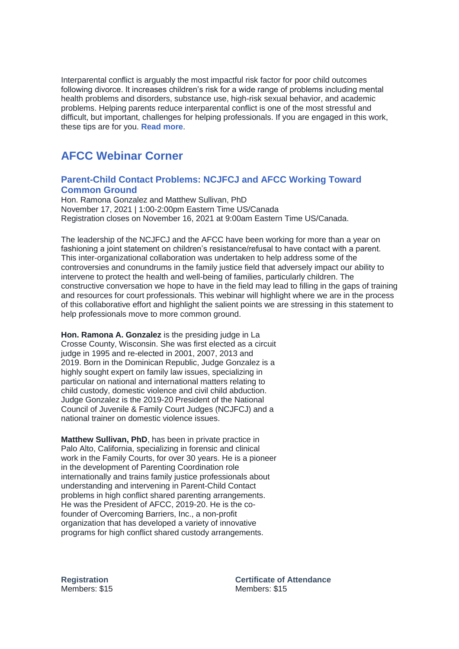Interparental conflict is arguably the most impactful risk factor for poor child outcomes following divorce. It increases children's risk for a wide range of problems including mental health problems and disorders, substance use, high-risk sexual behavior, and academic problems. Helping parents reduce interparental conflict is one of the most stressful and difficult, but important, challenges for helping professionals. If you are engaged in this work, these tips are for you. **[Read more](https://r20.rs6.net/tn.jsp?f=001GatK5TbPh7s5VRAKe4clglnvcarXtACXm2f31WIiCZ50a4VniMO7w1AsPiGiAWFAB6FNyE24CTdmaCj35ApYVUMNYEg55wi6J3QglhU36dEqf5EkiEs06WG5Scv2K6mw4Aqwb4Vb1vr45oh9mQa3lmfSrfGW2XNp2nX7pdwFGn-B_EfUVPpy5aXthB0HrddYfcXnqtIv3HDiTzUQBvbmVPdbIC8NVUefFkVyLuyKzxc=&c=aQqsplq_4n8m9koU-MqsYGL-RVLpsXhaESkLTnqe-NDa0Uc09cUQhA==&ch=s7fA5jcJKwyGcUyE9ffDb7ymv3ImhJNm6oDQuc92cXvauvOLczqi9Q==)**.

# **AFCC Webinar Corner**

# **[Parent-Child Contact Problems: NCJFCJ and AFCC Working Toward](https://r20.rs6.net/tn.jsp?f=001GatK5TbPh7s5VRAKe4clglnvcarXtACXm2f31WIiCZ50a4VniMO7w6fKMyR0wbq8ZUGPvOz4eYAEzFpPT6M-Y9CypvJ5XTZmSaZacBKkBoAbSUUW0MM9iMaa05WFDP8bRVBnGZuDpO4yPmhmKGDYUkpWgTElWl7KHukuL3LOlGWyuiSFZ3a_mS_nfSOYZi_4ONZzohid7hCBtL0gyWjOTD1feCCYeAI7kPo4vR0VGyWx5iE9E9uZTzEwsWD1QAvxSr4LwVrx-ic=&c=aQqsplq_4n8m9koU-MqsYGL-RVLpsXhaESkLTnqe-NDa0Uc09cUQhA==&ch=s7fA5jcJKwyGcUyE9ffDb7ymv3ImhJNm6oDQuc92cXvauvOLczqi9Q==)  [Common Ground](https://r20.rs6.net/tn.jsp?f=001GatK5TbPh7s5VRAKe4clglnvcarXtACXm2f31WIiCZ50a4VniMO7w6fKMyR0wbq8ZUGPvOz4eYAEzFpPT6M-Y9CypvJ5XTZmSaZacBKkBoAbSUUW0MM9iMaa05WFDP8bRVBnGZuDpO4yPmhmKGDYUkpWgTElWl7KHukuL3LOlGWyuiSFZ3a_mS_nfSOYZi_4ONZzohid7hCBtL0gyWjOTD1feCCYeAI7kPo4vR0VGyWx5iE9E9uZTzEwsWD1QAvxSr4LwVrx-ic=&c=aQqsplq_4n8m9koU-MqsYGL-RVLpsXhaESkLTnqe-NDa0Uc09cUQhA==&ch=s7fA5jcJKwyGcUyE9ffDb7ymv3ImhJNm6oDQuc92cXvauvOLczqi9Q==)**

Hon. Ramona Gonzalez and Matthew Sullivan, PhD November 17, 2021 | 1:00-2:00pm Eastern Time US/Canada Registration closes on November 16, 2021 at 9:00am Eastern Time US/Canada.

The leadership of the NCJFCJ and the AFCC have been working for more than a year on fashioning a joint statement on children's resistance/refusal to have contact with a parent. This inter-organizational collaboration was undertaken to help address some of the controversies and conundrums in the family justice field that adversely impact our ability to intervene to protect the health and well-being of families, particularly children. The constructive conversation we hope to have in the field may lead to filling in the gaps of training and resources for court professionals. This webinar will highlight where we are in the process of this collaborative effort and highlight the salient points we are stressing in this statement to help professionals move to more common ground.

**Hon. Ramona A. Gonzalez** is the presiding judge in La Crosse County, Wisconsin. She was first elected as a circuit judge in 1995 and re-elected in 2001, 2007, 2013 and 2019. Born in the Dominican Republic, Judge Gonzalez is a highly sought expert on family law issues, specializing in particular on national and international matters relating to child custody, domestic violence and civil child abduction. Judge Gonzalez is the 2019-20 President of the National Council of Juvenile & Family Court Judges (NCJFCJ) and a national trainer on domestic violence issues.

**Matthew Sullivan, PhD**, has been in private practice in Palo Alto, California, specializing in forensic and clinical work in the Family Courts, for over 30 years. He is a pioneer in the development of Parenting Coordination role internationally and trains family justice professionals about understanding and intervening in Parent-Child Contact problems in high conflict shared parenting arrangements. He was the President of AFCC, 2019-20. He is the cofounder of Overcoming Barriers, Inc., a non-profit organization that has developed a variety of innovative programs for high conflict shared custody arrangements.

**Registration** Members: \$15 **Certificate of Attendance** Members: \$15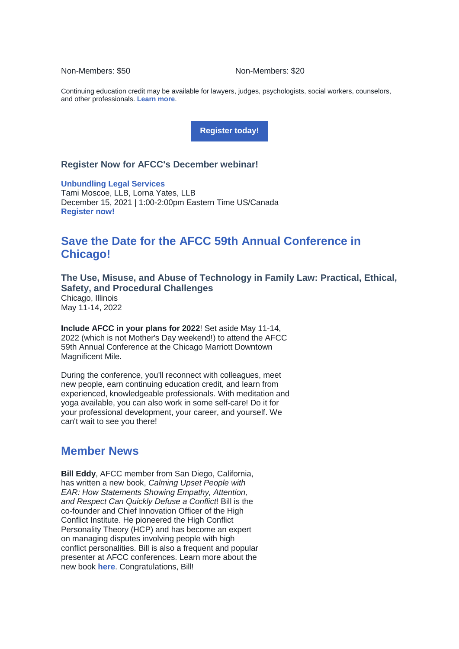Non-Members: \$50 Non-Members: \$20

Continuing education credit may be available for lawyers, judges, psychologists, social workers, counselors, and other professionals. **[Learn more](https://r20.rs6.net/tn.jsp?f=001GatK5TbPh7s5VRAKe4clglnvcarXtACXm2f31WIiCZ50a4VniMO7w6fKMyR0wbq8ZUGPvOz4eYAEzFpPT6M-Y9CypvJ5XTZmSaZacBKkBoAbSUUW0MM9iMaa05WFDP8bRVBnGZuDpO4yPmhmKGDYUkpWgTElWl7KHukuL3LOlGWyuiSFZ3a_mS_nfSOYZi_4ONZzohid7hCBtL0gyWjOTD1feCCYeAI7kPo4vR0VGyWx5iE9E9uZTzEwsWD1QAvxSr4LwVrx-ic=&c=aQqsplq_4n8m9koU-MqsYGL-RVLpsXhaESkLTnqe-NDa0Uc09cUQhA==&ch=s7fA5jcJKwyGcUyE9ffDb7ymv3ImhJNm6oDQuc92cXvauvOLczqi9Q==)**.

**[Register today!](https://r20.rs6.net/tn.jsp?f=001GatK5TbPh7s5VRAKe4clglnvcarXtACXm2f31WIiCZ50a4VniMO7w6fKMyR0wbq8ZUGPvOz4eYAEzFpPT6M-Y9CypvJ5XTZmSaZacBKkBoAbSUUW0MM9iMaa05WFDP8bRVBnGZuDpO4yPmhmKGDYUkpWgTElWl7KHukuL3LOlGWyuiSFZ3a_mS_nfSOYZi_4ONZzohid7hCBtL0gyWjOTD1feCCYeAI7kPo4vR0VGyWx5iE9E9uZTzEwsWD1QAvxSr4LwVrx-ic=&c=aQqsplq_4n8m9koU-MqsYGL-RVLpsXhaESkLTnqe-NDa0Uc09cUQhA==&ch=s7fA5jcJKwyGcUyE9ffDb7ymv3ImhJNm6oDQuc92cXvauvOLczqi9Q==)**

### **Register Now for AFCC's December webinar!**

**[Unbundling Legal Services](https://r20.rs6.net/tn.jsp?f=001GatK5TbPh7s5VRAKe4clglnvcarXtACXm2f31WIiCZ50a4VniMO7wwfPh8LaE0vnEeFXPLUFxXw6ysTUnQ0M8sZwVUN56e9yai7WoTbCu2ne2yT9Gn0GtA00SX3dfI35JPx2frpR0VaQvb4yskkmYl-o72vy7P6PxSXLXxUfaoTNvM_5b_JWQFaDITQ-1BJd7bhNy_tKKebguDpNQTKXlrOR-zlmLqay_4Zkim_OnU3S4Cul1bOrDMFQtOL2z5jIT7Dq1E2tiYw=&c=aQqsplq_4n8m9koU-MqsYGL-RVLpsXhaESkLTnqe-NDa0Uc09cUQhA==&ch=s7fA5jcJKwyGcUyE9ffDb7ymv3ImhJNm6oDQuc92cXvauvOLczqi9Q==)** Tami Moscoe, LLB, Lorna Yates, LLB December 15, 2021 | 1:00-2:00pm Eastern Time US/Canada **[Register now!](https://r20.rs6.net/tn.jsp?f=001GatK5TbPh7s5VRAKe4clglnvcarXtACXm2f31WIiCZ50a4VniMO7wwfPh8LaE0vnEeFXPLUFxXw6ysTUnQ0M8sZwVUN56e9yai7WoTbCu2ne2yT9Gn0GtA00SX3dfI35JPx2frpR0VaQvb4yskkmYl-o72vy7P6PxSXLXxUfaoTNvM_5b_JWQFaDITQ-1BJd7bhNy_tKKebguDpNQTKXlrOR-zlmLqay_4Zkim_OnU3S4Cul1bOrDMFQtOL2z5jIT7Dq1E2tiYw=&c=aQqsplq_4n8m9koU-MqsYGL-RVLpsXhaESkLTnqe-NDa0Uc09cUQhA==&ch=s7fA5jcJKwyGcUyE9ffDb7ymv3ImhJNm6oDQuc92cXvauvOLczqi9Q==)**

# **Save the Date for the AFCC 59th Annual Conference in Chicago!**

**The Use, Misuse, and Abuse of Technology in Family Law: Practical, Ethical, Safety, and Procedural Challenges** Chicago, Illinois May 11-14, 2022

**Include AFCC in your plans for 2022**! Set aside May 11-14, 2022 (which is not Mother's Day weekend!) to attend the AFCC 59th Annual Conference at the Chicago Marriott Downtown Magnificent Mile.

During the conference, you'll reconnect with colleagues, meet new people, earn continuing education credit, and learn from experienced, knowledgeable professionals. With meditation and yoga available, you can also work in some self-care! Do it for your professional development, your career, and yourself. We can't wait to see you there!

# **Member News**

**Bill Eddy**, AFCC member from San Diego, California, has written a new book, *Calming Upset People with EAR: How Statements Showing Empathy, Attention, and Respect Can Quickly Defuse a Conflict*! Bill is the co-founder and Chief Innovation Officer of the High Conflict Institute. He pioneered the High Conflict Personality Theory (HCP) and has become an expert on managing disputes involving people with high conflict personalities. Bill is also a frequent and popular presenter at AFCC conferences. Learn more about the new book **[here](https://r20.rs6.net/tn.jsp?f=001GatK5TbPh7s5VRAKe4clglnvcarXtACXm2f31WIiCZ50a4VniMO7w1AsPiGiAWFAYSz8nmQOtLFURkoW2C_4MHrOxzgsFkhF0YNOsqW3FFtSmNlqDNyWvtPVW37Ocw24_pJOZk4ltHxaYSLlLc72ZiZFWWMu69z1r_vRsi4700t-nbZXov8cVseQRwYW2P_59q9_IwpNu2s=&c=aQqsplq_4n8m9koU-MqsYGL-RVLpsXhaESkLTnqe-NDa0Uc09cUQhA==&ch=s7fA5jcJKwyGcUyE9ffDb7ymv3ImhJNm6oDQuc92cXvauvOLczqi9Q==)**. Congratulations, Bill!